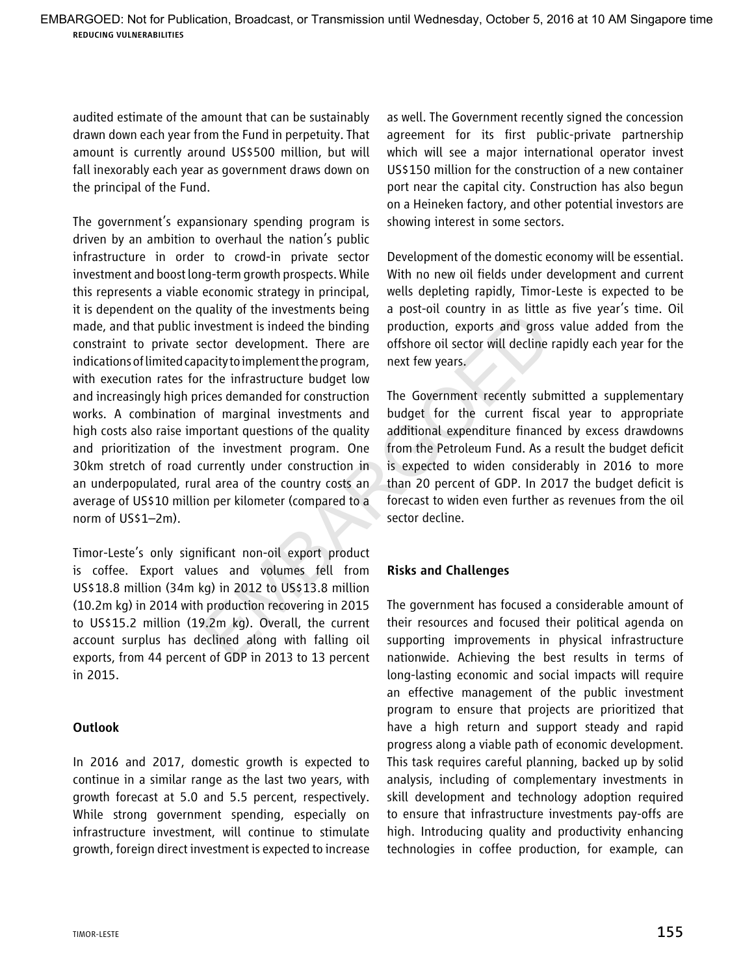audited estimate of the amount that can be sustainably drawn down each year from the Fund in perpetuity. That amount is currently around US\$500 million, but will fall inexorably each year as government draws down on the principal of the Fund.

The government's expansionary spending program is driven by an ambition to overhaul the nation's public infrastructure in order to crowd-in private sector investment and boost long-term growth prospects. While this represents a viable economic strategy in principal, it is dependent on the quality of the investments being made, and that public investment is indeed the binding constraint to private sector development. There are indications of limited capacity to implement the program, with execution rates for the infrastructure budget low and increasingly high prices demanded for construction works. A combination of marginal investments and high costs also raise important questions of the quality and prioritization of the investment program. One 30km stretch of road currently under construction in an underpopulated, rural area of the country costs an average of US\$10 million per kilometer (compared to a norm of US\$1–2m). by the investments being a post-on country in as trace<br>vector development. There are offshore oil sector will decline<br>ector development the bring production, exports and gross<br>accity to implement the program, next few year

Timor-Leste's only significant non-oil export product is coffee. Export values and volumes fell from US\$18.8 million (34m kg) in 2012 to US\$13.8 million (10.2m kg) in 2014 with production recovering in 2015 to US\$15.2 million (19.2m kg). Overall, the current account surplus has declined along with falling oil exports, from 44 percent of GDP in 2013 to 13 percent in 2015.

## Outlook

In 2016 and 2017, domestic growth is expected to continue in a similar range as the last two years, with growth forecast at 5.0 and 5.5 percent, respectively. While strong government spending, especially on infrastructure investment, will continue to stimulate growth, foreign direct investment is expected to increase as well. The Government recently signed the concession agreement for its first public-private partnership which will see a major international operator invest US\$150 million for the construction of a new container port near the capital city. Construction has also begun on a Heineken factory, and other potential investors are showing interest in some sectors.

Development of the domestic economy will be essential. With no new oil fields under development and current wells depleting rapidly, Timor-Leste is expected to be a post-oil country in as little as five year's time. Oil production, exports and gross value added from the offshore oil sector will decline rapidly each year for the next few years.

The Government recently submitted a supplementary budget for the current fiscal year to appropriate additional expenditure financed by excess drawdowns from the Petroleum Fund. As a result the budget deficit is expected to widen considerably in 2016 to more than 20 percent of GDP. In 2017 the budget deficit is forecast to widen even further as revenues from the oil sector decline.

## Risks and Challenges

The government has focused a considerable amount of their resources and focused their political agenda on supporting improvements in physical infrastructure nationwide. Achieving the best results in terms of long-lasting economic and social impacts will require an effective management of the public investment program to ensure that projects are prioritized that have a high return and support steady and rapid progress along a viable path of economic development. This task requires careful planning, backed up by solid analysis, including of complementary investments in skill development and technology adoption required to ensure that infrastructure investments pay-offs are high. Introducing quality and productivity enhancing technologies in coffee production, for example, can